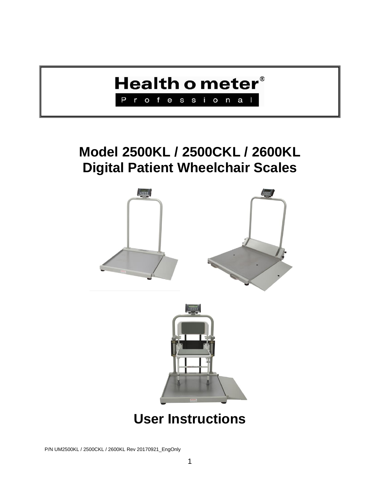## **Health o meter<sup>®</sup>** Professional

## **Model 2500KL / 2500CKL / 2600KL Digital Patient Wheelchair Scales**





## **User Instructions**

P/N UM2500KL / 2500CKL / 2600KL Rev 20170921\_EngOnly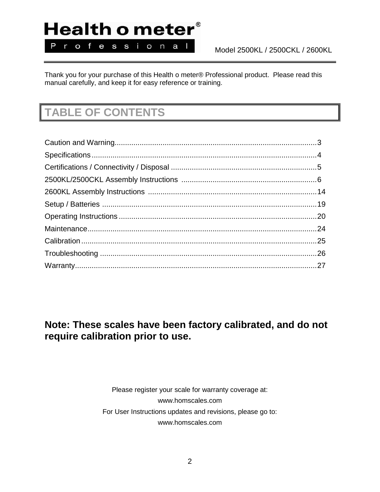# Health o meter<sup>®</sup>

Professional

Model 2500KL / 2500CKL / 2600KL

Thank you for your purchase of this Health o meter® Professional product. Please read this manual carefully, and keep it for easy reference or training.

## **TABLE OF CONTENTS**

## **Note: These scales have been factory calibrated, and do not require calibration prior to use.**

Please register your scale for warranty coverage at: www.homscales.com For User Instructions updates and revisions, please go to: www.homscales.com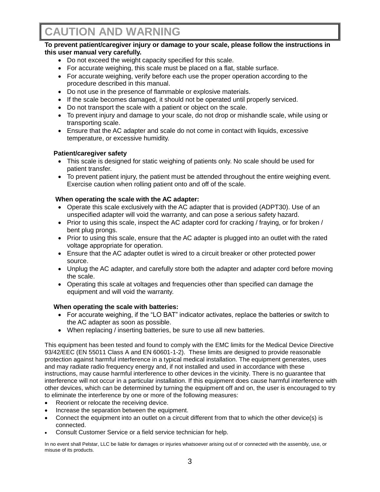## **CAUTION AND WARNING**

#### **To prevent patient/caregiver injury or damage to your scale, please follow the instructions in this user manual very carefully.**

- Do not exceed the weight capacity specified for this scale.
- For accurate weighing, this scale must be placed on a flat, stable surface.
- For accurate weighing, verify before each use the proper operation according to the procedure described in this manual.
- Do not use in the presence of flammable or explosive materials.
- If the scale becomes damaged, it should not be operated until properly serviced.
- Do not transport the scale with a patient or object on the scale.
- To prevent injury and damage to your scale, do not drop or mishandle scale, while using or transporting scale.
- Ensure that the AC adapter and scale do not come in contact with liquids, excessive temperature, or excessive humidity.

#### **Patient/caregiver safety**

- This scale is designed for static weighing of patients only. No scale should be used for patient transfer.
- To prevent patient injury, the patient must be attended throughout the entire weighing event. Exercise caution when rolling patient onto and off of the scale.

#### **When operating the scale with the AC adapter:**

- Operate this scale exclusively with the AC adapter that is provided (ADPT30). Use of an unspecified adapter will void the warranty, and can pose a serious safety hazard.
- Prior to using this scale, inspect the AC adapter cord for cracking / fraying, or for broken / bent plug prongs.
- Prior to using this scale, ensure that the AC adapter is plugged into an outlet with the rated voltage appropriate for operation.
- Ensure that the AC adapter outlet is wired to a circuit breaker or other protected power source.
- Unplug the AC adapter, and carefully store both the adapter and adapter cord before moving the scale.
- Operating this scale at voltages and frequencies other than specified can damage the equipment and will void the warranty.

#### **When operating the scale with batteries:**

- For accurate weighing, if the "LO BAT" indicator activates, replace the batteries or switch to the AC adapter as soon as possible.
- When replacing / inserting batteries, be sure to use all new batteries.

This equipment has been tested and found to comply with the EMC limits for the Medical Device Directive 93/42/EEC (EN 55011 Class A and EN 60601-1-2). These limits are designed to provide reasonable protection against harmful interference in a typical medical installation. The equipment generates, uses and may radiate radio frequency energy and, if not installed and used in accordance with these instructions, may cause harmful interference to other devices in the vicinity. There is no guarantee that interference will not occur in a particular installation. If this equipment does cause harmful interference with other devices, which can be determined by turning the equipment off and on, the user is encouraged to try to eliminate the interference by one or more of the following measures:

- Reorient or relocate the receiving device.
- Increase the separation between the equipment.
- Connect the equipment into an outlet on a circuit different from that to which the other device(s) is connected.
- Consult Customer Service or a field service technician for help.

In no event shall Pelstar, LLC be liable for damages or injuries whatsoever arising out of or connected with the assembly, use, or misuse of its products.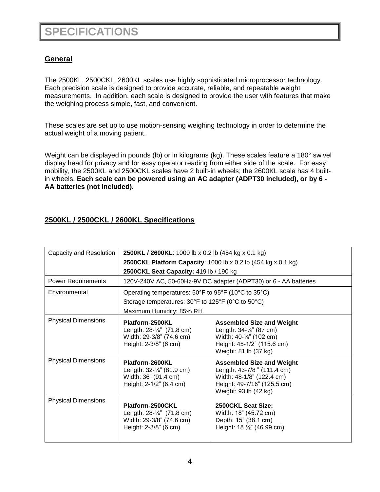## **SPECIFICATIONS**

## **General**

The 2500KL, 2500CKL, 2600KL scales use highly sophisticated microprocessor technology. Each precision scale is designed to provide accurate, reliable, and repeatable weight measurements. In addition, each scale is designed to provide the user with features that make the weighing process simple, fast, and convenient.

These scales are set up to use motion-sensing weighing technology in order to determine the actual weight of a moving patient.

Weight can be displayed in pounds (lb) or in kilograms (kg). These scales feature a 180° swivel display head for privacy and for easy operator reading from either side of the scale. For easy mobility, the 2500KL and 2500CKL scales have 2 built-in wheels; the 2600KL scale has 4 builtin wheels. **Each scale can be powered using an AC adapter (ADPT30 included), or by 6 - AA batteries (not included).**

### **2500KL / 2500CKL / 2600KL Specifications**

| Capacity and Resolution    | 2500KL / 2600KL: 1000 lb x 0.2 lb (454 kg x 0.1 kg)                                                          |                                                                                                                                                     |  |
|----------------------------|--------------------------------------------------------------------------------------------------------------|-----------------------------------------------------------------------------------------------------------------------------------------------------|--|
|                            | 2500CKL Platform Capacity: 1000 lb x 0.2 lb (454 kg x 0.1 kg)                                                |                                                                                                                                                     |  |
|                            | 2500CKL Seat Capacity: 419 lb / 190 kg                                                                       |                                                                                                                                                     |  |
| <b>Power Requirements</b>  | 120V-240V AC, 50-60Hz-9V DC adapter (ADPT30) or 6 - AA batteries                                             |                                                                                                                                                     |  |
| Environmental              | Operating temperatures: 50°F to 95°F (10°C to 35°C)                                                          |                                                                                                                                                     |  |
|                            | Storage temperatures: 30°F to 125°F (0°C to 50°C)                                                            |                                                                                                                                                     |  |
|                            | Maximum Humidity: 85% RH                                                                                     |                                                                                                                                                     |  |
| <b>Physical Dimensions</b> | Platform-2500KL<br>Length: $28-\frac{1}{4}$ " (71.8 cm)<br>Width: 29-3/8" (74.6 cm)<br>Height: 2-3/8" (6 cm) | <b>Assembled Size and Weight</b><br>Length: 34-1/4" (87 cm)<br>Width: 40-1/4" (102 cm)<br>Height: 45-1/2" (115.6 cm)<br>Weight: 81 lb (37 kg)       |  |
| <b>Physical Dimensions</b> | Platform-2600KL<br>Length: $32-\frac{1}{4}$ (81.9 cm)<br>Width: 36" (91.4 cm)<br>Height: 2-1/2" (6.4 cm)     | <b>Assembled Size and Weight</b><br>Length: 43-7/8" (111.4 cm)<br>Width: 48-1/8" (122.4 cm)<br>Height: 49-7/16" (125.5 cm)<br>Weight: 93 lb (42 kg) |  |
| <b>Physical Dimensions</b> | Platform-2500CKL<br>Length: 28-1/4" (71.8 cm)<br>Width: 29-3/8" (74.6 cm)<br>Height: 2-3/8" (6 cm)           | 2500CKL Seat Size:<br>Width: 18" (45.72 cm)<br>Depth: 15" (38.1 cm)<br>Height: 18 1/2" (46.99 cm)                                                   |  |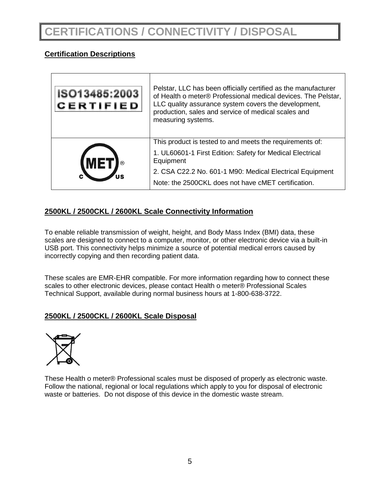## **CERTIFICATIONS / CONNECTIVITY / DISPOSAL**

### **Certification Descriptions**

| ISO13485:2003<br><b>CERTIFIED</b> | Pelstar, LLC has been officially certified as the manufacturer<br>of Health o meter® Professional medical devices. The Pelstar,<br>LLC quality assurance system covers the development,<br>production, sales and service of medical scales and<br>measuring systems. |
|-----------------------------------|----------------------------------------------------------------------------------------------------------------------------------------------------------------------------------------------------------------------------------------------------------------------|
|                                   | This product is tested to and meets the requirements of:                                                                                                                                                                                                             |
|                                   | 1. UL60601-1 First Edition: Safety for Medical Electrical<br>Equipment                                                                                                                                                                                               |
|                                   | 2. CSA C22.2 No. 601-1 M90: Medical Electrical Equipment                                                                                                                                                                                                             |
|                                   | Note: the 2500CKL does not have cMET certification.                                                                                                                                                                                                                  |

### **2500KL / 2500CKL / 2600KL Scale Connectivity Information**

To enable reliable transmission of weight, height, and Body Mass Index (BMI) data, these scales are designed to connect to a computer, monitor, or other electronic device via a built-in USB port. This connectivity helps minimize a source of potential medical errors caused by incorrectly copying and then recording patient data.

These scales are EMR-EHR compatible. For more information regarding how to connect these scales to other electronic devices, please contact Health o meter® Professional Scales Technical Support, available during normal business hours at 1-800-638-3722.

### **2500KL / 2500CKL / 2600KL Scale Disposal**



These Health o meter® Professional scales must be disposed of properly as electronic waste. Follow the national, regional or local regulations which apply to you for disposal of electronic waste or batteries. Do not dispose of this device in the domestic waste stream.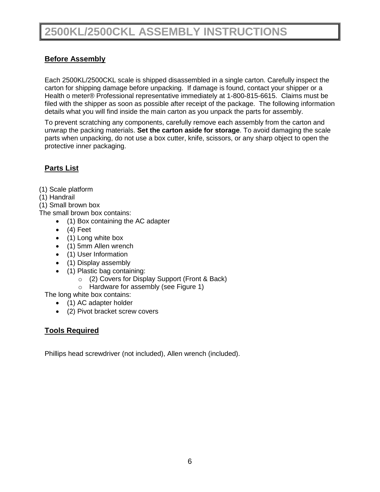## **2500KL/2500CKL ASSEMBLY INSTRUCTIONS**

### **Before Assembly**

Each 2500KL/2500CKL scale is shipped disassembled in a single carton. Carefully inspect the carton for shipping damage before unpacking. If damage is found, contact your shipper or a Health o meter® Professional representative immediately at 1-800-815-6615. Claims must be filed with the shipper as soon as possible after receipt of the package. The following information details what you will find inside the main carton as you unpack the parts for assembly.

To prevent scratching any components, carefully remove each assembly from the carton and unwrap the packing materials. **Set the carton aside for storage**. To avoid damaging the scale parts when unpacking, do not use a box cutter, knife, scissors, or any sharp object to open the protective inner packaging.

### **Parts List**

- (1) Scale platform
- (1) Handrail
- (1) Small brown box

The small brown box contains:

- (1) Box containing the AC adapter
- $\bullet$  (4) Feet
- (1) Long white box
- (1) 5mm Allen wrench
- (1) User Information
- (1) Display assembly
- (1) Plastic bag containing:
	- o (2) Covers for Display Support (Front & Back)
	- o Hardware for assembly (see Figure 1)

The long white box contains:

- (1) AC adapter holder
- (2) Pivot bracket screw covers

### **Tools Required**

Phillips head screwdriver (not included), Allen wrench (included).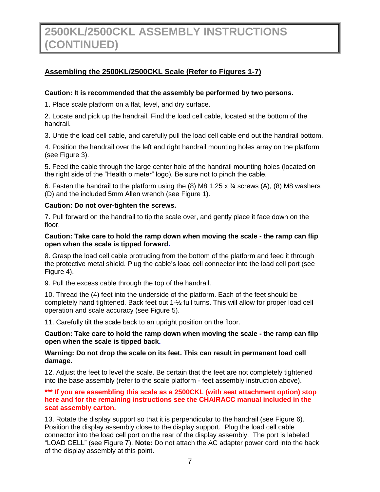### **Assembling the 2500KL/2500CKL Scale (Refer to Figures 1-7)**

#### **Caution: It is recommended that the assembly be performed by two persons.**

1. Place scale platform on a flat, level, and dry surface.

2. Locate and pick up the handrail. Find the load cell cable, located at the bottom of the handrail.

3. Untie the load cell cable, and carefully pull the load cell cable end out the handrail bottom.

4. Position the handrail over the left and right handrail mounting holes array on the platform (see Figure 3).

5. Feed the cable through the large center hole of the handrail mounting holes (located on the right side of the "Health o meter" logo). Be sure not to pinch the cable.

6. Fasten the handrail to the platform using the (8) M8 1.25 x  $\frac{3}{4}$  screws (A), (8) M8 washers (D) and the included 5mm Allen wrench (see Figure 1).

#### **Caution: Do not over-tighten the screws.**

7. Pull forward on the handrail to tip the scale over, and gently place it face down on the floor.

#### **Caution: Take care to hold the ramp down when moving the scale - the ramp can flip open when the scale is tipped forward.**

8. Grasp the load cell cable protruding from the bottom of the platform and feed it through the protective metal shield. Plug the cable's load cell connector into the load cell port (see Figure 4).

9. Pull the excess cable through the top of the handrail.

10. Thread the (4) feet into the underside of the platform. Each of the feet should be completely hand tightened. Back feet out 1-½ full turns. This will allow for proper load cell operation and scale accuracy (see Figure 5).

11. Carefully tilt the scale back to an upright position on the floor.

#### **Caution: Take care to hold the ramp down when moving the scale - the ramp can flip open when the scale is tipped back.**

#### **Warning: Do not drop the scale on its feet. This can result in permanent load cell damage.**

12. Adjust the feet to level the scale. Be certain that the feet are not completely tightened into the base assembly (refer to the scale platform - feet assembly instruction above).

#### **\*\*\* If you are assembling this scale as a 2500CKL (with seat attachment option) stop here and for the remaining instructions see the CHAIRACC manual included in the seat assembly carton.**

13. Rotate the display support so that it is perpendicular to the handrail (see Figure 6). Position the display assembly close to the display support. Plug the load cell cable connector into the load cell port on the rear of the display assembly. The port is labeled "LOAD CELL" (see Figure 7). **Note:** Do not attach the AC adapter power cord into the back of the display assembly at this point.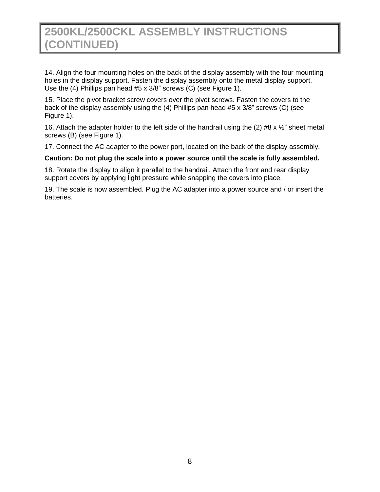14. Align the four mounting holes on the back of the display assembly with the four mounting holes in the display support. Fasten the display assembly onto the metal display support. Use the (4) Phillips pan head #5 x 3/8" screws (C) (see Figure 1).

15. Place the pivot bracket screw covers over the pivot screws. Fasten the covers to the back of the display assembly using the (4) Phillips pan head #5 x 3/8" screws (C) (see Figure 1).

16. Attach the adapter holder to the left side of the handrail using the (2) #8 x  $\frac{1}{2}$ " sheet metal screws (B) (see Figure 1).

17. Connect the AC adapter to the power port, located on the back of the display assembly.

#### **Caution: Do not plug the scale into a power source until the scale is fully assembled.**

18. Rotate the display to align it parallel to the handrail. Attach the front and rear display support covers by applying light pressure while snapping the covers into place.

19. The scale is now assembled. Plug the AC adapter into a power source and / or insert the batteries.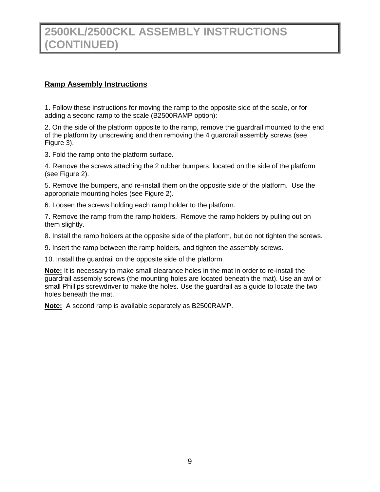### **Ramp Assembly Instructions**

1. Follow these instructions for moving the ramp to the opposite side of the scale, or for adding a second ramp to the scale (B2500RAMP option):

2. On the side of the platform opposite to the ramp, remove the guardrail mounted to the end of the platform by unscrewing and then removing the 4 guardrail assembly screws (see Figure 3).

3. Fold the ramp onto the platform surface.

4. Remove the screws attaching the 2 rubber bumpers, located on the side of the platform (see Figure 2).

5. Remove the bumpers, and re-install them on the opposite side of the platform. Use the appropriate mounting holes (see Figure 2).

6. Loosen the screws holding each ramp holder to the platform.

7. Remove the ramp from the ramp holders. Remove the ramp holders by pulling out on them slightly.

8. Install the ramp holders at the opposite side of the platform, but do not tighten the screws.

9. Insert the ramp between the ramp holders, and tighten the assembly screws.

10. Install the guardrail on the opposite side of the platform.

**Note:** It is necessary to make small clearance holes in the mat in order to re-install the guardrail assembly screws (the mounting holes are located beneath the mat). Use an awl or small Phillips screwdriver to make the holes. Use the guardrail as a guide to locate the two holes beneath the mat.

**Note:** A second ramp is available separately as B2500RAMP.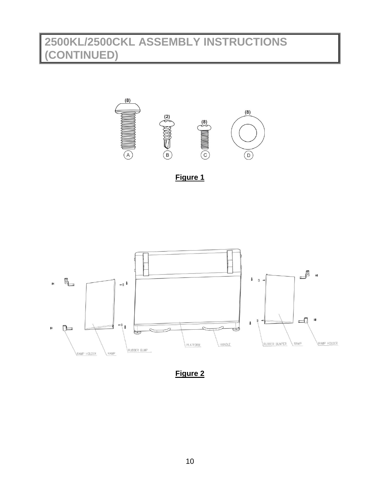





**Figure 2**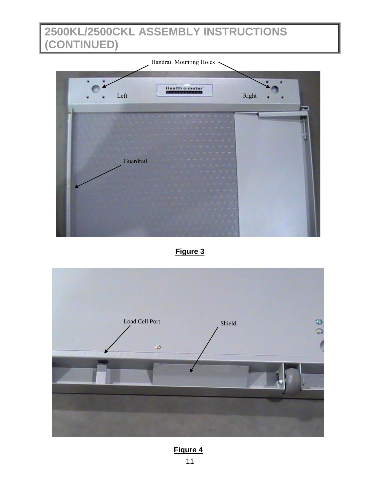



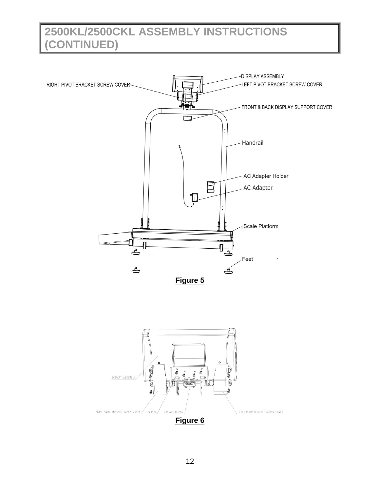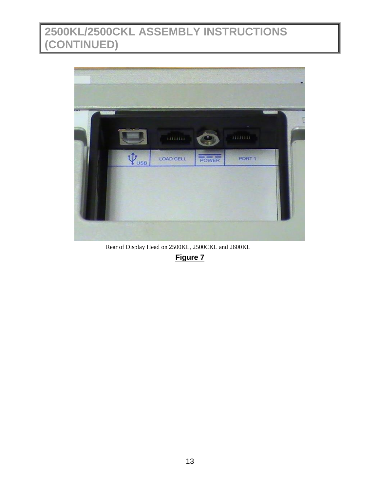

Rear of Display Head on 2500KL, 2500CKL and 2600KL

**Figure 7**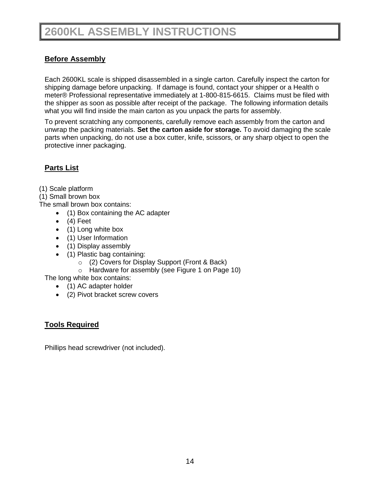## **2600KL ASSEMBLY INSTRUCTIONS**

## **Before Assembly**

Each 2600KL scale is shipped disassembled in a single carton. Carefully inspect the carton for shipping damage before unpacking. If damage is found, contact your shipper or a Health o meter® Professional representative immediately at 1-800-815-6615. Claims must be filed with the shipper as soon as possible after receipt of the package. The following information details what you will find inside the main carton as you unpack the parts for assembly.

To prevent scratching any components, carefully remove each assembly from the carton and unwrap the packing materials. **Set the carton aside for storage.** To avoid damaging the scale parts when unpacking, do not use a box cutter, knife, scissors, or any sharp object to open the protective inner packaging.

### **Parts List**

(1) Scale platform

(1) Small brown box

The small brown box contains:

- (1) Box containing the AC adapter
- $(4)$  Feet
- (1) Long white box
- (1) User Information
- (1) Display assembly
- (1) Plastic bag containing:
	- o (2) Covers for Display Support (Front & Back)
	- o Hardware for assembly (see Figure 1 on Page 10)

The long white box contains:

- (1) AC adapter holder
- (2) Pivot bracket screw covers

### **Tools Required**

Phillips head screwdriver (not included).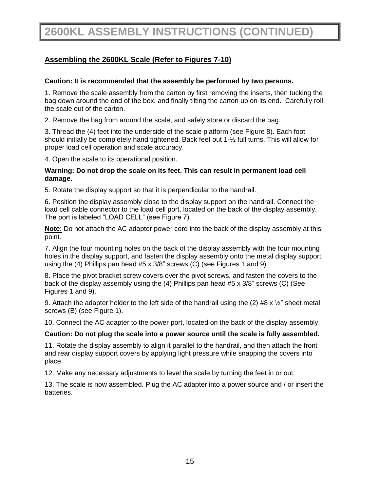## **Assembling the 2600KL Scale (Refer to Figures 7-10)**

#### **Caution: It is recommended that the assembly be performed by two persons.**

1. Remove the scale assembly from the carton by first removing the inserts, then tucking the bag down around the end of the box, and finally tilting the carton up on its end. Carefully roll the scale out of the carton.

2. Remove the bag from around the scale, and safely store or discard the bag.

3. Thread the (4) feet into the underside of the scale platform (see Figure 8). Each foot should initially be completely hand tightened. Back feet out 1-½ full turns. This will allow for proper load cell operation and scale accuracy.

4. Open the scale to its operational position.

#### **Warning: Do not drop the scale on its feet. This can result in permanent load cell damage.**

5. Rotate the display support so that it is perpendicular to the handrail.

6. Position the display assembly close to the display support on the handrail. Connect the load cell cable connector to the load cell port, located on the back of the display assembly. The port is labeled "LOAD CELL" (see Figure 7).

**Note**: Do not attach the AC adapter power cord into the back of the display assembly at this point.

7. Align the four mounting holes on the back of the display assembly with the four mounting holes in the display support, and fasten the display assembly onto the metal display support using the (4) Phillips pan head #5 x 3/8" screws (C) (see Figures 1 and 9).

8. Place the pivot bracket screw covers over the pivot screws, and fasten the covers to the back of the display assembly using the (4) Phillips pan head #5 x 3/8" screws (C) (See Figures 1 and 9).

9. Attach the adapter holder to the left side of the handrail using the (2) #8 x  $\frac{1}{2}$ " sheet metal screws (B) (see Figure 1).

10. Connect the AC adapter to the power port, located on the back of the display assembly.

#### **Caution: Do not plug the scale into a power source until the scale is fully assembled.**

11. Rotate the display assembly to align it parallel to the handrail, and then attach the front and rear display support covers by applying light pressure while snapping the covers into place.

12. Make any necessary adjustments to level the scale by turning the feet in or out.

13. The scale is now assembled. Plug the AC adapter into a power source and / or insert the batteries.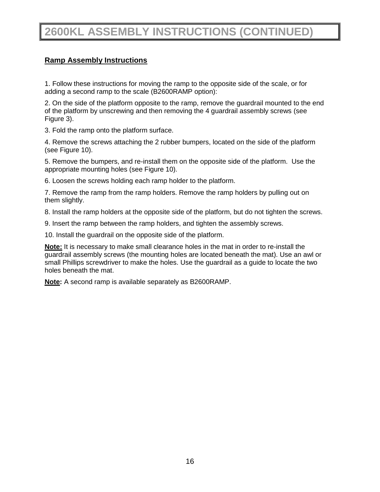### **Ramp Assembly Instructions**

1. Follow these instructions for moving the ramp to the opposite side of the scale, or for adding a second ramp to the scale (B2600RAMP option):

2. On the side of the platform opposite to the ramp, remove the guardrail mounted to the end of the platform by unscrewing and then removing the 4 guardrail assembly screws (see Figure 3).

3. Fold the ramp onto the platform surface.

4. Remove the screws attaching the 2 rubber bumpers, located on the side of the platform (see Figure 10).

5. Remove the bumpers, and re-install them on the opposite side of the platform. Use the appropriate mounting holes (see Figure 10).

6. Loosen the screws holding each ramp holder to the platform.

7. Remove the ramp from the ramp holders. Remove the ramp holders by pulling out on them slightly.

8. Install the ramp holders at the opposite side of the platform, but do not tighten the screws.

9. Insert the ramp between the ramp holders, and tighten the assembly screws.

10. Install the guardrail on the opposite side of the platform.

**Note:** It is necessary to make small clearance holes in the mat in order to re-install the guardrail assembly screws (the mounting holes are located beneath the mat). Use an awl or small Phillips screwdriver to make the holes. Use the guardrail as a guide to locate the two holes beneath the mat.

**Note:** A second ramp is available separately as B2600RAMP.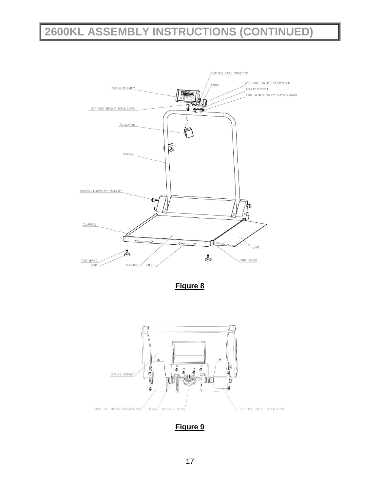

**Figure 9**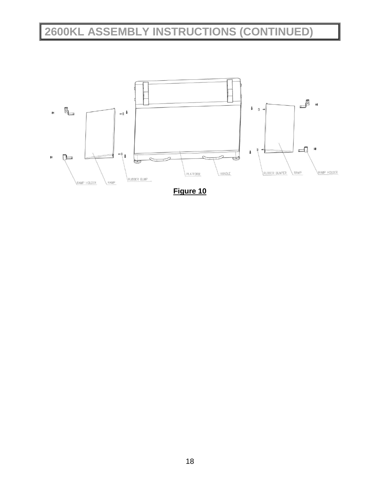

**Figure 10**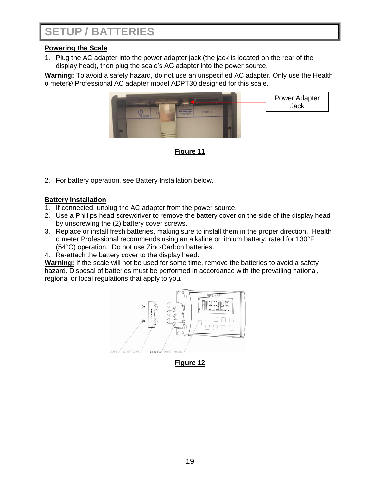## **SETUP / BATTERIES**

### **Powering the Scale**

1. Plug the AC adapter into the power adapter jack (the jack is located on the rear of the display head), then plug the scale's AC adapter into the power source.

**Warning:** To avoid a safety hazard, do not use an unspecified AC adapter. Only use the Health o meter® Professional AC adapter model ADPT30 designed for this scale.



Power Adapter Jack

**Figure 11**

2. For battery operation, see Battery Installation below.

### **Battery Installation**

- 1. If connected, unplug the AC adapter from the power source.
- 2. Use a Phillips head screwdriver to remove the battery cover on the side of the display head by unscrewing the (2) battery cover screws.
- 3. Replace or install fresh batteries, making sure to install them in the proper direction. Health o meter Professional recommends using an alkaline or lithium battery, rated for 130°F (54°C) operation. Do not use Zinc-Carbon batteries.

4. Re-attach the battery cover to the display head.

**Warning:** If the scale will not be used for some time, remove the batteries to avoid a safety hazard. Disposal of batteries must be performed in accordance with the prevailing national, regional or local regulations that apply to you.



**Figure 12**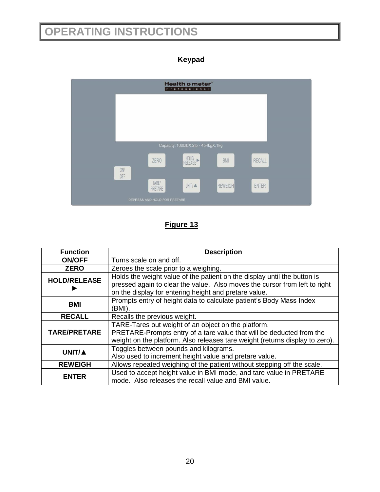## **OPERATING INSTRUCTIONS**

## **Keypad**



## **Figure 13**

| <b>Function</b>                                 | <b>Description</b>                                                           |  |
|-------------------------------------------------|------------------------------------------------------------------------------|--|
| <b>ON/OFF</b>                                   | Turns scale on and off.                                                      |  |
| <b>ZERO</b>                                     | Zeroes the scale prior to a weighing.                                        |  |
| <b>HOLD/RELEASE</b>                             | Holds the weight value of the patient on the display until the button is     |  |
|                                                 | pressed again to clear the value. Also moves the cursor from left to right   |  |
|                                                 | on the display for entering height and pretare value.                        |  |
| <b>BMI</b>                                      | Prompts entry of height data to calculate patient's Body Mass Index          |  |
|                                                 | (BMI).                                                                       |  |
| <b>RECALL</b>                                   | Recalls the previous weight.                                                 |  |
|                                                 | TARE-Tares out weight of an object on the platform.                          |  |
| <b>TARE/PRETARE</b>                             | PRETARE-Prompts entry of a tare value that will be deducted from the         |  |
|                                                 | weight on the platform. Also releases tare weight (returns display to zero). |  |
| Toggles between pounds and kilograms.<br>UNIT/A |                                                                              |  |
|                                                 | Also used to increment height value and pretare value.                       |  |
| <b>REWEIGH</b>                                  | Allows repeated weighing of the patient without stepping off the scale.      |  |
| <b>ENTER</b>                                    | Used to accept height value in BMI mode, and tare value in PRETARE           |  |
|                                                 | mode. Also releases the recall value and BMI value.                          |  |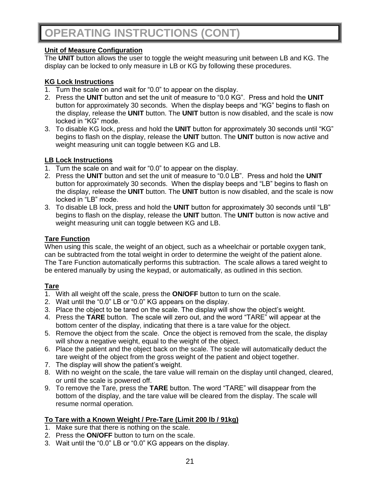#### **Unit of Measure Configuration**

The **UNIT** button allows the user to toggle the weight measuring unit between LB and KG. The display can be locked to only measure in LB or KG by following these procedures.

#### **KG Lock Instructions**

- 1. Turn the scale on and wait for "0.0" to appear on the display.
- 2. Press the **UNIT** button and set the unit of measure to "0.0 KG". Press and hold the **UNIT** button for approximately 30 seconds. When the display beeps and "KG" begins to flash on the display, release the **UNIT** button. The **UNIT** button is now disabled, and the scale is now locked in "KG" mode.
- 3. To disable KG lock, press and hold the **UNIT** button for approximately 30 seconds until "KG" begins to flash on the display, release the **UNIT** button. The **UNIT** button is now active and weight measuring unit can toggle between KG and LB.

### **LB Lock Instructions**

- 1. Turn the scale on and wait for "0.0" to appear on the display.
- 2. Press the **UNIT** button and set the unit of measure to "0.0 LB". Press and hold the **UNIT** button for approximately 30 seconds. When the display beeps and "LB" begins to flash on the display, release the **UNIT** button. The **UNIT** button is now disabled, and the scale is now locked in "LB" mode.
- 3. To disable LB lock, press and hold the **UNIT** button for approximately 30 seconds until "LB" begins to flash on the display, release the **UNIT** button. The **UNIT** button is now active and weight measuring unit can toggle between KG and LB.

#### **Tare Function**

When using this scale, the weight of an object, such as a wheelchair or portable oxygen tank, can be subtracted from the total weight in order to determine the weight of the patient alone. The Tare Function automatically performs this subtraction. The scale allows a tared weight to be entered manually by using the keypad, or automatically, as outlined in this section.

### **Tare**

- 1. With all weight off the scale, press the **ON/OFF** button to turn on the scale.
- 2. Wait until the "0.0" LB or "0.0" KG appears on the display.
- 3. Place the object to be tared on the scale. The display will show the object's weight.
- 4. Press the **TARE** button. The scale will zero out, and the word "TARE" will appear at the bottom center of the display, indicating that there is a tare value for the object.
- 5. Remove the object from the scale. Once the object is removed from the scale, the display will show a negative weight, equal to the weight of the object.
- 6. Place the patient and the object back on the scale. The scale will automatically deduct the tare weight of the object from the gross weight of the patient and object together.
- 7. The display will show the patient's weight.
- 8. With no weight on the scale, the tare value will remain on the display until changed, cleared, or until the scale is powered off.
- 9. To remove the Tare, press the **TARE** button. The word "TARE" will disappear from the bottom of the display, and the tare value will be cleared from the display. The scale will resume normal operation.

### **To Tare with a Known Weight / Pre-Tare (Limit 200 lb / 91kg)**

- 1. Make sure that there is nothing on the scale.
- 2. Press the **ON/OFF** button to turn on the scale.
- 3. Wait until the "0.0" LB or "0.0" KG appears on the display.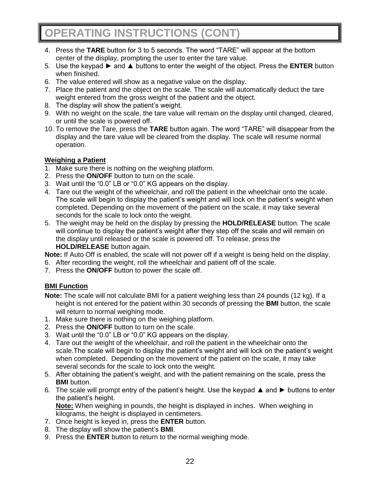## **OPERATING INSTRUCTIONS (CONT)**

- 4. Press the **TARE** button for 3 to 5 seconds. The word "TARE" will appear at the bottom center of the display, prompting the user to enter the tare value.
- 5. Use the keypad ► and ▲ buttons to enter the weight of the object. Press the **ENTER** button when finished.
- 6. The value entered will show as a negative value on the display.
- 7. Place the patient and the object on the scale. The scale will automatically deduct the tare weight entered from the gross weight of the patient and the object.
- 8. The display will show the patient's weight.
- 9. With no weight on the scale, the tare value will remain on the display until changed, cleared, or until the scale is powered off.
- 10. To remove the Tare, press the **TARE** button again. The word "TARE" will disappear from the display and the tare value will be cleared from the display. The scale will resume normal operation.

### **Weighing a Patient**

- 1. Make sure there is nothing on the weighing platform.
- 2. Press the **ON/OFF** button to turn on the scale.
- 3. Wait until the "0.0" LB or "0.0" KG appears on the display.
- 4. Tare out the weight of the wheelchair, and roll the patient in the wheelchair onto the scale. The scale will begin to display the patient's weight and will lock on the patient's weight when completed. Depending on the movement of the patient on the scale, it may take several seconds for the scale to lock onto the weight.
- 5. The weight may be held on the display by pressing the **HOLD/RELEASE** button. The scale will continue to display the patient's weight after they step off the scale and will remain on the display until released or the scale is powered off. To release, press the **HOLD/RELEASE** button again.

**Note:** If Auto Off is enabled, the scale will not power off if a weight is being held on the display.

- 6. After recording the weight, roll the wheelchair and patient off of the scale.
- 7. Press the **ON/OFF** button to power the scale off.

### **BMI Function**

- **Note:** The scale will not calculate BMI for a patient weighing less than 24 pounds (12 kg). If a height is not entered for the patient within 30 seconds of pressing the **BMI** button, the scale will return to normal weighing mode.
- 1. Make sure there is nothing on the weighing platform.
- 2. Press the **ON/OFF** button to turn on the scale.
- 3. Wait until the "0.0" LB or "0.0" KG appears on the display.
- 4. Tare out the weight of the wheelchair, and roll the patient in the wheelchair onto the scale.The scale will begin to display the patient's weight and will lock on the patient's weight when completed. Depending on the movement of the patient on the scale, it may take several seconds for the scale to lock onto the weight.
- 5. After obtaining the patient's weight, and with the patient remaining on the scale, press the **BMI** button.
- 6. The scale will prompt entry of the patient's height. Use the keypad ▲ and ► buttons to enter the patient's height.

**Note:** When weighing in pounds, the height is displayed in inches. When weighing in kilograms, the height is displayed in centimeters.

- 7. Once height is keyed in, press the **ENTER** button.
- 8. The display will show the patient's **BMI**.
- 9. Press the **ENTER** button to return to the normal weighing mode.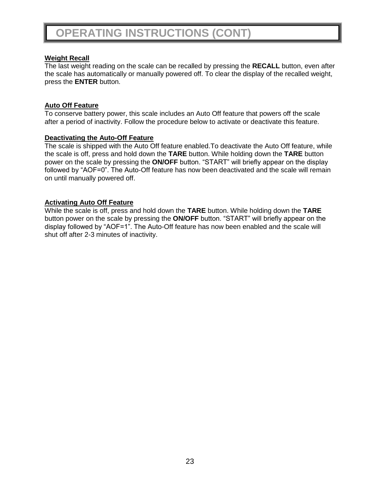#### **Weight Recall**

The last weight reading on the scale can be recalled by pressing the **RECALL** button, even after the scale has automatically or manually powered off. To clear the display of the recalled weight, press the **ENTER** button.

#### **Auto Off Feature**

To conserve battery power, this scale includes an Auto Off feature that powers off the scale after a period of inactivity. Follow the procedure below to activate or deactivate this feature.

#### **Deactivating the Auto-Off Feature**

The scale is shipped with the Auto Off feature enabled.To deactivate the Auto Off feature, while the scale is off, press and hold down the **TARE** button. While holding down the **TARE** button power on the scale by pressing the **ON/OFF** button. "START" will briefly appear on the display followed by "AOF=0". The Auto-Off feature has now been deactivated and the scale will remain on until manually powered off.

#### **Activating Auto Off Feature**

While the scale is off, press and hold down the **TARE** button. While holding down the **TARE** button power on the scale by pressing the **ON/OFF** button. "START" will briefly appear on the display followed by "AOF=1". The Auto-Off feature has now been enabled and the scale will shut off after 2-3 minutes of inactivity.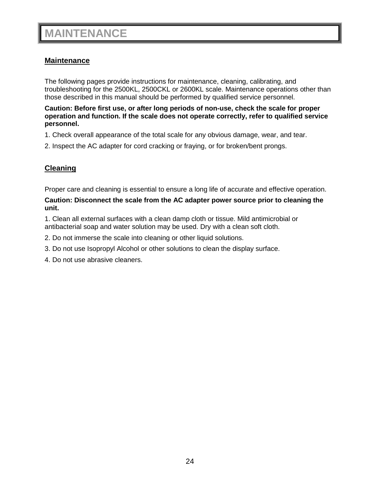## **MAINTENANCE**

### **Maintenance**

The following pages provide instructions for maintenance, cleaning, calibrating, and troubleshooting for the 2500KL, 2500CKL or 2600KL scale. Maintenance operations other than those described in this manual should be performed by qualified service personnel.

**Caution: Before first use, or after long periods of non-use, check the scale for proper operation and function. If the scale does not operate correctly, refer to qualified service personnel.**

1. Check overall appearance of the total scale for any obvious damage, wear, and tear.

2. Inspect the AC adapter for cord cracking or fraying, or for broken/bent prongs.

### **Cleaning**

Proper care and cleaning is essential to ensure a long life of accurate and effective operation.

#### **Caution: Disconnect the scale from the AC adapter power source prior to cleaning the unit.**

1. Clean all external surfaces with a clean damp cloth or tissue. Mild antimicrobial or antibacterial soap and water solution may be used. Dry with a clean soft cloth.

- 2. Do not immerse the scale into cleaning or other liquid solutions.
- 3. Do not use Isopropyl Alcohol or other solutions to clean the display surface.
- 4. Do not use abrasive cleaners.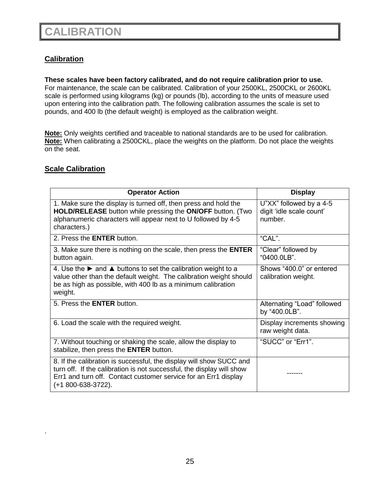## **Calibration**

**These scales have been factory calibrated, and do not require calibration prior to use.** For maintenance, the scale can be calibrated. Calibration of your 2500KL, 2500CKL or 2600KL scale is performed using kilograms (kg) or pounds (lb), according to the units of measure used upon entering into the calibration path. The following calibration assumes the scale is set to pounds, and 400 lb (the default weight) is employed as the calibration weight.

**Note:** Only weights certified and traceable to national standards are to be used for calibration. **Note:** When calibrating a 2500CKL, place the weights on the platform. Do not place the weights on the seat.

### **Scale Calibration**

.

| <b>Operator Action</b>                                                                                                                                                                                                                            | <b>Display</b>                                                 |
|---------------------------------------------------------------------------------------------------------------------------------------------------------------------------------------------------------------------------------------------------|----------------------------------------------------------------|
| 1. Make sure the display is turned off, then press and hold the<br>HOLD/RELEASE button while pressing the ON/OFF button. (Two<br>alphanumeric characters will appear next to U followed by 4-5<br>characters.)                                    | U"XX" followed by a 4-5<br>digit 'idle scale count'<br>number. |
| 2. Press the <b>ENTER</b> button.                                                                                                                                                                                                                 | "CAL".                                                         |
| 3. Make sure there is nothing on the scale, then press the <b>ENTER</b><br>button again.                                                                                                                                                          | "Clear" followed by<br>"0400.0LB".                             |
| 4. Use the $\blacktriangleright$ and $\blacktriangle$ buttons to set the calibration weight to a<br>value other than the default weight. The calibration weight should<br>be as high as possible, with 400 lb as a minimum calibration<br>weight. | Shows "400.0" or entered<br>calibration weight.                |
| 5. Press the <b>ENTER</b> button.                                                                                                                                                                                                                 | Alternating "Load" followed<br>by "400.0LB".                   |
| 6. Load the scale with the required weight.                                                                                                                                                                                                       | Display increments showing<br>raw weight data.                 |
| 7. Without touching or shaking the scale, allow the display to<br>stabilize, then press the <b>ENTER</b> button.                                                                                                                                  | "SUCC" or "Err1".                                              |
| 8. If the calibration is successful, the display will show SUCC and<br>turn off. If the calibration is not successful, the display will show<br>Err1 and turn off. Contact customer service for an Err1 display<br>$(+1800-638-3722)$ .           |                                                                |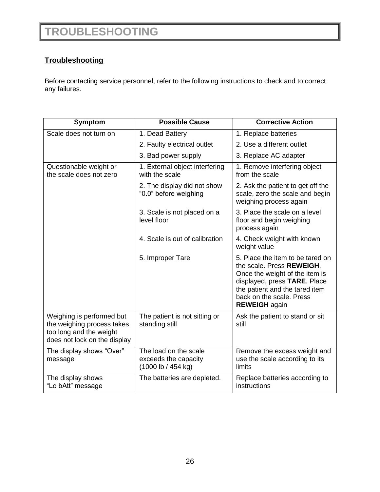## **Troubleshooting**

Before contacting service personnel, refer to the following instructions to check and to correct any failures.

| Symptom                                                                                                            | <b>Possible Cause</b>                                               | <b>Corrective Action</b>                                                                                                                                                                                              |
|--------------------------------------------------------------------------------------------------------------------|---------------------------------------------------------------------|-----------------------------------------------------------------------------------------------------------------------------------------------------------------------------------------------------------------------|
| Scale does not turn on                                                                                             | 1. Dead Battery                                                     | 1. Replace batteries                                                                                                                                                                                                  |
|                                                                                                                    | 2. Faulty electrical outlet                                         | 2. Use a different outlet                                                                                                                                                                                             |
|                                                                                                                    | 3. Bad power supply                                                 | 3. Replace AC adapter                                                                                                                                                                                                 |
| Questionable weight or<br>the scale does not zero                                                                  | 1. External object interfering<br>with the scale                    | 1. Remove interfering object<br>from the scale                                                                                                                                                                        |
|                                                                                                                    | 2. The display did not show<br>"0.0" before weighing                | 2. Ask the patient to get off the<br>scale, zero the scale and begin<br>weighing process again                                                                                                                        |
|                                                                                                                    | 3. Scale is not placed on a<br>level floor                          | 3. Place the scale on a level<br>floor and begin weighing<br>process again                                                                                                                                            |
|                                                                                                                    | 4. Scale is out of calibration                                      | 4. Check weight with known<br>weight value                                                                                                                                                                            |
|                                                                                                                    | 5. Improper Tare                                                    | 5. Place the item to be tared on<br>the scale. Press REWEIGH.<br>Once the weight of the item is<br>displayed, press TARE. Place<br>the patient and the tared item<br>back on the scale. Press<br><b>REWEIGH</b> again |
| Weighing is performed but<br>the weighing process takes<br>too long and the weight<br>does not lock on the display | The patient is not sitting or<br>standing still                     | Ask the patient to stand or sit<br>still                                                                                                                                                                              |
| The display shows "Over"<br>message                                                                                | The load on the scale<br>exceeds the capacity<br>(1000 lb / 454 kg) | Remove the excess weight and<br>use the scale according to its<br>limits                                                                                                                                              |
| The display shows<br>"Lo bAtt" message                                                                             | The batteries are depleted.                                         | Replace batteries according to<br>instructions                                                                                                                                                                        |